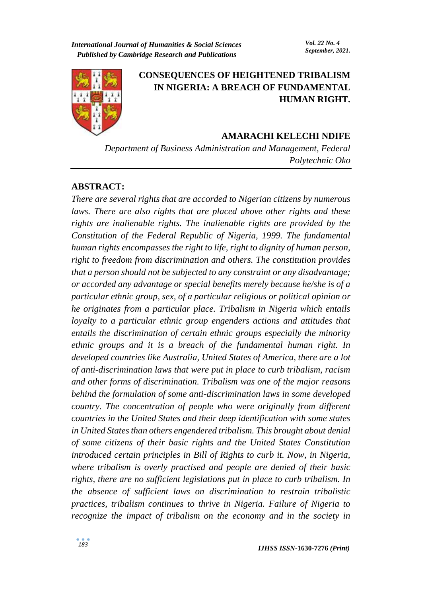

# **CONSEQUENCES OF HEIGHTENED TRIBALISM IN NIGERIA: A BREACH OF FUNDAMENTAL HUMAN RIGHT.**

## **AMARACHI KELECHI NDIFE**

*Department of Business Administration and Management, Federal Polytechnic Oko* 

#### **ABSTRACT:**

*There are several rights that are accorded to Nigerian citizens by numerous laws. There are also rights that are placed above other rights and these rights are inalienable rights. The inalienable rights are provided by the Constitution of the Federal Republic of Nigeria, 1999. The fundamental human rights encompasses the right to life, right to dignity of human person, right to freedom from discrimination and others. The constitution provides that a person should not be subjected to any constraint or any disadvantage; or accorded any advantage or special benefits merely because he/she is of a particular ethnic group, sex, of a particular religious or political opinion or he originates from a particular place. Tribalism in Nigeria which entails loyalty to a particular ethnic group engenders actions and attitudes that entails the discrimination of certain ethnic groups especially the minority ethnic groups and it is a breach of the fundamental human right. In developed countries like Australia, United States of America, there are a lot of anti-discrimination laws that were put in place to curb tribalism, racism and other forms of discrimination. Tribalism was one of the major reasons behind the formulation of some anti-discrimination laws in some developed country. The concentration of people who were originally from different countries in the United States and their deep identification with some states in United States than others engendered tribalism. This brought about denial of some citizens of their basic rights and the United States Constitution introduced certain principles in Bill of Rights to curb it. Now, in Nigeria, where tribalism is overly practised and people are denied of their basic rights, there are no sufficient legislations put in place to curb tribalism. In the absence of sufficient laws on discrimination to restrain tribalistic practices, tribalism continues to thrive in Nigeria. Failure of Nigeria to recognize the impact of tribalism on the economy and in the society in*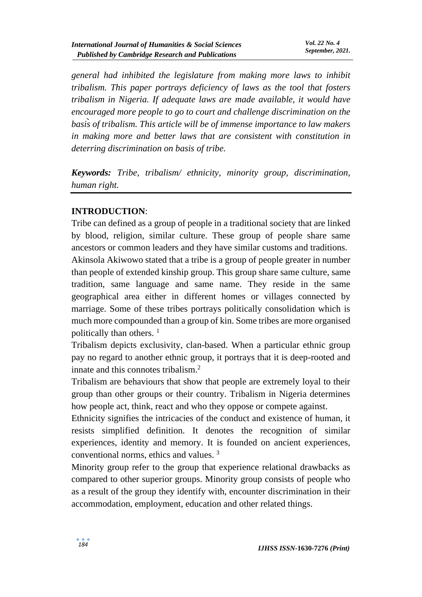*general had inhibited the legislature from making more laws to inhibit tribalism. This paper portrays deficiency of laws as the tool that fosters tribalism in Nigeria. If adequate laws are made available, it would have encouraged more people to go to court and challenge discrimination on the basis of tribalism. This article will be of immense importance to law makers in making more and better laws that are consistent with constitution in deterring discrimination on basis of tribe.*

*Keywords: Tribe, tribalism/ ethnicity, minority group, discrimination, human right.*

# **INTRODUCTION**:

Tribe can defined as a group of people in a traditional society that are linked by blood, religion, similar culture. These group of people share same ancestors or common leaders and they have similar customs and traditions.

Akinsola Akiwowo stated that a tribe is a group of people greater in number than people of extended kinship group. This group share same culture, same tradition, same language and same name. They reside in the same geographical area either in different homes or villages connected by marriage. Some of these tribes portrays politically consolidation which is much more compounded than a group of kin. Some tribes are more organised politically than others.<sup>1</sup>

Tribalism depicts exclusivity, clan-based. When a particular ethnic group pay no regard to another ethnic group, it portrays that it is deep-rooted and innate and this connotes tribalism.<sup>2</sup>

Tribalism are behaviours that show that people are extremely loyal to their group than other groups or their country. Tribalism in Nigeria determines how people act, think, react and who they oppose or compete against.

Ethnicity signifies the intricacies of the conduct and existence of human, it resists simplified definition. It denotes the recognition of similar experiences, identity and memory. It is founded on ancient experiences, conventional norms, ethics and values. <sup>3</sup>

Minority group refer to the group that experience relational drawbacks as compared to other superior groups. Minority group consists of people who as a result of the group they identify with, encounter discrimination in their accommodation, employment, education and other related things.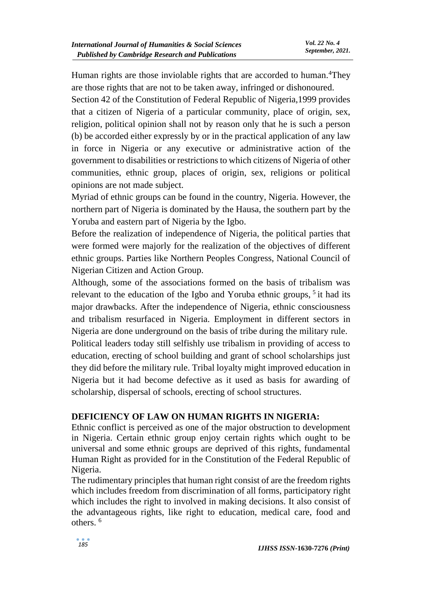Human rights are those inviolable rights that are accorded to human.<sup>4</sup>They are those rights that are not to be taken away, infringed or dishonoured.

Section 42 of the Constitution of Federal Republic of Nigeria,1999 provides that a citizen of Nigeria of a particular community, place of origin, sex, religion, political opinion shall not by reason only that he is such a person (b) be accorded either expressly by or in the practical application of any law in force in Nigeria or any executive or administrative action of the government to disabilities or restrictions to which citizens of Nigeria of other communities, ethnic group, places of origin, sex, religions or political opinions are not made subject.

Myriad of ethnic groups can be found in the country, Nigeria. However, the northern part of Nigeria is dominated by the Hausa, the southern part by the Yoruba and eastern part of Nigeria by the Igbo.

Before the realization of independence of Nigeria, the political parties that were formed were majorly for the realization of the objectives of different ethnic groups. Parties like Northern Peoples Congress, National Council of Nigerian Citizen and Action Group.

Although, some of the associations formed on the basis of tribalism was relevant to the education of the Igbo and Yoruba ethnic groups, <sup>5</sup> it had its major drawbacks. After the independence of Nigeria, ethnic consciousness and tribalism resurfaced in Nigeria. Employment in different sectors in Nigeria are done underground on the basis of tribe during the military rule.

Political leaders today still selfishly use tribalism in providing of access to education, erecting of school building and grant of school scholarships just they did before the military rule. Tribal loyalty might improved education in Nigeria but it had become defective as it used as basis for awarding of scholarship, dispersal of schools, erecting of school structures.

## **DEFICIENCY OF LAW ON HUMAN RIGHTS IN NIGERIA:**

Ethnic conflict is perceived as one of the major obstruction to development in Nigeria. Certain ethnic group enjoy certain rights which ought to be universal and some ethnic groups are deprived of this rights, fundamental Human Right as provided for in the Constitution of the Federal Republic of Nigeria.

The rudimentary principles that human right consist of are the freedom rights which includes freedom from discrimination of all forms, participatory right which includes the right to involved in making decisions. It also consist of the advantageous rights, like right to education, medical care, food and others. 6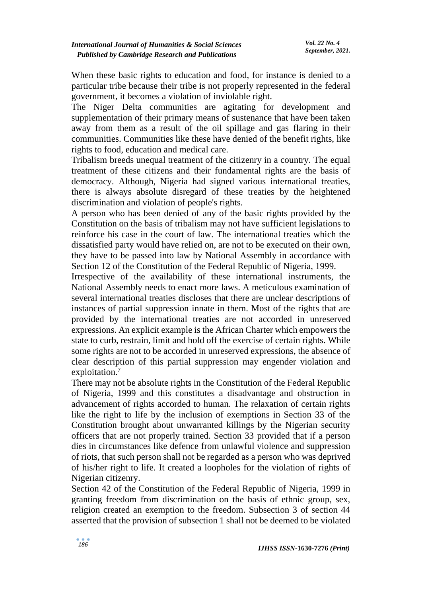When these basic rights to education and food, for instance is denied to a particular tribe because their tribe is not properly represented in the federal government, it becomes a violation of inviolable right.

The Niger Delta communities are agitating for development and supplementation of their primary means of sustenance that have been taken away from them as a result of the oil spillage and gas flaring in their communities. Communities like these have denied of the benefit rights, like rights to food, education and medical care.

Tribalism breeds unequal treatment of the citizenry in a country. The equal treatment of these citizens and their fundamental rights are the basis of democracy. Although, Nigeria had signed various international treaties, there is always absolute disregard of these treaties by the heightened discrimination and violation of people's rights.

A person who has been denied of any of the basic rights provided by the Constitution on the basis of tribalism may not have sufficient legislations to reinforce his case in the court of law. The international treaties which the dissatisfied party would have relied on, are not to be executed on their own, they have to be passed into law by National Assembly in accordance with Section 12 of the Constitution of the Federal Republic of Nigeria, 1999.

Irrespective of the availability of these international instruments, the National Assembly needs to enact more laws. A meticulous examination of several international treaties discloses that there are unclear descriptions of instances of partial suppression innate in them. Most of the rights that are provided by the international treaties are not accorded in unreserved expressions. An explicit example is the African Charter which empowers the state to curb, restrain, limit and hold off the exercise of certain rights. While some rights are not to be accorded in unreserved expressions, the absence of clear description of this partial suppression may engender violation and exploitation.<sup>7</sup>

There may not be absolute rights in the Constitution of the Federal Republic of Nigeria, 1999 and this constitutes a disadvantage and obstruction in advancement of rights accorded to human. The relaxation of certain rights like the right to life by the inclusion of exemptions in Section 33 of the Constitution brought about unwarranted killings by the Nigerian security officers that are not properly trained. Section 33 provided that if a person dies in circumstances like defence from unlawful violence and suppression of riots, that such person shall not be regarded as a person who was deprived of his/her right to life. It created a loopholes for the violation of rights of Nigerian citizenry.

Section 42 of the Constitution of the Federal Republic of Nigeria, 1999 in granting freedom from discrimination on the basis of ethnic group, sex, religion created an exemption to the freedom. Subsection 3 of section 44 asserted that the provision of subsection 1 shall not be deemed to be violated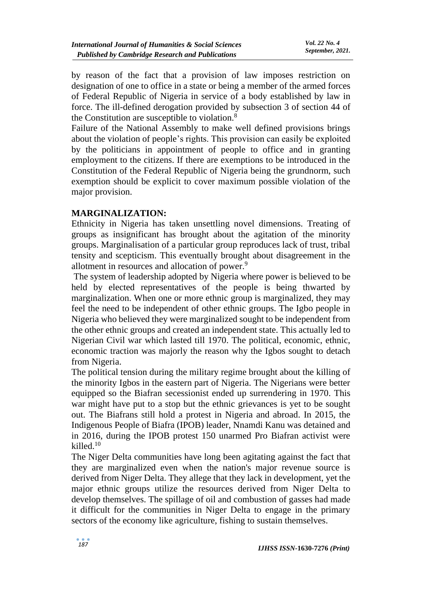by reason of the fact that a provision of law imposes restriction on designation of one to office in a state or being a member of the armed forces of Federal Republic of Nigeria in service of a body established by law in force. The ill-defined derogation provided by subsection 3 of section 44 of the Constitution are susceptible to violation.<sup>8</sup>

Failure of the National Assembly to make well defined provisions brings about the violation of people's rights. This provision can easily be exploited by the politicians in appointment of people to office and in granting employment to the citizens. If there are exemptions to be introduced in the Constitution of the Federal Republic of Nigeria being the grundnorm, such exemption should be explicit to cover maximum possible violation of the major provision.

## **MARGINALIZATION:**

Ethnicity in Nigeria has taken unsettling novel dimensions. Treating of groups as insignificant has brought about the agitation of the minority groups. Marginalisation of a particular group reproduces lack of trust, tribal tensity and scepticism. This eventually brought about disagreement in the allotment in resources and allocation of power.<sup>9</sup>

The system of leadership adopted by Nigeria where power is believed to be held by elected representatives of the people is being thwarted by marginalization. When one or more ethnic group is marginalized, they may feel the need to be independent of other ethnic groups. The Igbo people in Nigeria who believed they were marginalized sought to be independent from the other ethnic groups and created an independent state. This actually led to Nigerian Civil war which lasted till 1970. The political, economic, ethnic, economic traction was majorly the reason why the Igbos sought to detach from Nigeria.

The political tension during the military regime brought about the killing of the minority Igbos in the eastern part of Nigeria. The Nigerians were better equipped so the Biafran secessionist ended up surrendering in 1970. This war might have put to a stop but the ethnic grievances is yet to be sought out. The Biafrans still hold a protest in Nigeria and abroad. In 2015, the Indigenous People of Biafra (IPOB) leader, Nnamdi Kanu was detained and in 2016, during the IPOB protest 150 unarmed Pro Biafran activist were killed.<sup>10</sup>

The Niger Delta communities have long been agitating against the fact that they are marginalized even when the nation's major revenue source is derived from Niger Delta. They allege that they lack in development, yet the major ethnic groups utilize the resources derived from Niger Delta to develop themselves. The spillage of oil and combustion of gasses had made it difficult for the communities in Niger Delta to engage in the primary sectors of the economy like agriculture, fishing to sustain themselves.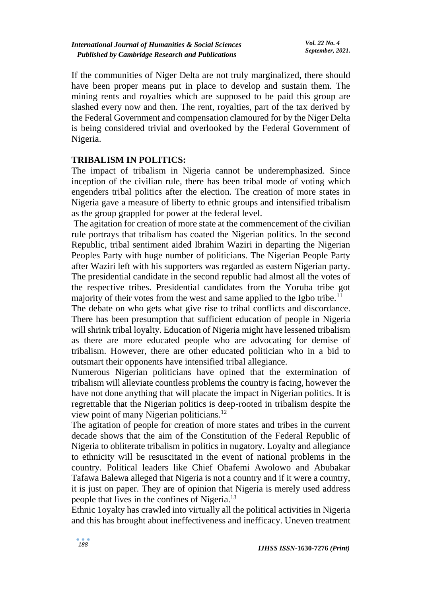If the communities of Niger Delta are not truly marginalized, there should have been proper means put in place to develop and sustain them. The mining rents and royalties which are supposed to be paid this group are slashed every now and then. The rent, royalties, part of the tax derived by the Federal Government and compensation clamoured for by the Niger Delta is being considered trivial and overlooked by the Federal Government of Nigeria.

#### **TRIBALISM IN POLITICS:**

The impact of tribalism in Nigeria cannot be underemphasized. Since inception of the civilian rule, there has been tribal mode of voting which engenders tribal politics after the election. The creation of more states in Nigeria gave a measure of liberty to ethnic groups and intensified tribalism as the group grappled for power at the federal level.

The agitation for creation of more state at the commencement of the civilian rule portrays that tribalism has coated the Nigerian politics. In the second Republic, tribal sentiment aided Ibrahim Waziri in departing the Nigerian Peoples Party with huge number of politicians. The Nigerian People Party after Waziri left with his supporters was regarded as eastern Nigerian party. The presidential candidate in the second republic had almost all the votes of the respective tribes. Presidential candidates from the Yoruba tribe got majority of their votes from the west and same applied to the Igbo tribe.<sup>11</sup>

The debate on who gets what give rise to tribal conflicts and discordance. There has been presumption that sufficient education of people in Nigeria will shrink tribal loyalty. Education of Nigeria might have lessened tribalism as there are more educated people who are advocating for demise of tribalism. However, there are other educated politician who in a bid to outsmart their opponents have intensified tribal allegiance.

Numerous Nigerian politicians have opined that the extermination of tribalism will alleviate countless problems the country is facing, however the have not done anything that will placate the impact in Nigerian politics. It is regrettable that the Nigerian politics is deep-rooted in tribalism despite the view point of many Nigerian politicians.<sup>12</sup>

The agitation of people for creation of more states and tribes in the current decade shows that the aim of the Constitution of the Federal Republic of Nigeria to obliterate tribalism in politics in nugatory. Loyalty and allegiance to ethnicity will be resuscitated in the event of national problems in the country. Political leaders like Chief Obafemi Awolowo and Abubakar Tafawa Balewa alleged that Nigeria is not a country and if it were a country, it is just on paper. They are of opinion that Nigeria is merely used address people that lives in the confines of Nigeria.<sup>13</sup>

Ethnic 1oyalty has crawled into virtually all the political activities in Nigeria and this has brought about ineffectiveness and inefficacy. Uneven treatment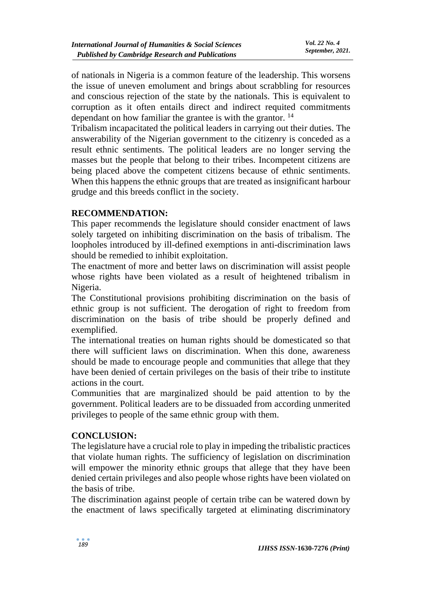of nationals in Nigeria is a common feature of the leadership. This worsens the issue of uneven emolument and brings about scrabbling for resources and conscious rejection of the state by the nationals. This is equivalent to corruption as it often entails direct and indirect requited commitments dependant on how familiar the grantee is with the grantor.<sup>14</sup>

Tribalism incapacitated the political leaders in carrying out their duties. The answerability of the Nigerian government to the citizenry is conceded as a result ethnic sentiments. The political leaders are no longer serving the masses but the people that belong to their tribes. Incompetent citizens are being placed above the competent citizens because of ethnic sentiments. When this happens the ethnic groups that are treated as insignificant harbour grudge and this breeds conflict in the society.

## **RECOMMENDATION:**

This paper recommends the legislature should consider enactment of laws solely targeted on inhibiting discrimination on the basis of tribalism. The loopholes introduced by ill-defined exemptions in anti-discrimination laws should be remedied to inhibit exploitation.

The enactment of more and better laws on discrimination will assist people whose rights have been violated as a result of heightened tribalism in Nigeria.

The Constitutional provisions prohibiting discrimination on the basis of ethnic group is not sufficient. The derogation of right to freedom from discrimination on the basis of tribe should be properly defined and exemplified.

The international treaties on human rights should be domesticated so that there will sufficient laws on discrimination. When this done, awareness should be made to encourage people and communities that allege that they have been denied of certain privileges on the basis of their tribe to institute actions in the court.

Communities that are marginalized should be paid attention to by the government. Political leaders are to be dissuaded from according unmerited privileges to people of the same ethnic group with them.

## **CONCLUSION:**

The legislature have a crucial role to play in impeding the tribalistic practices that violate human rights. The sufficiency of legislation on discrimination will empower the minority ethnic groups that allege that they have been denied certain privileges and also people whose rights have been violated on the basis of tribe.

The discrimination against people of certain tribe can be watered down by the enactment of laws specifically targeted at eliminating discriminatory